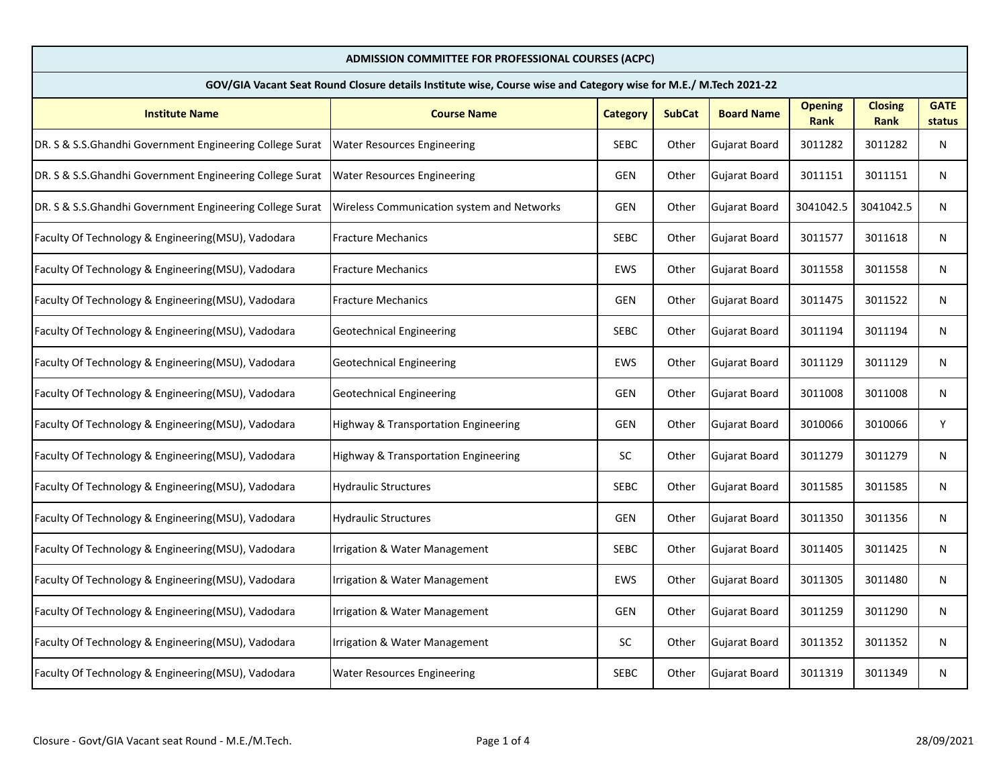| ADMISSION COMMITTEE FOR PROFESSIONAL COURSES (ACPC)                                                              |                                                   |                 |               |                      |                               |                        |                       |  |
|------------------------------------------------------------------------------------------------------------------|---------------------------------------------------|-----------------|---------------|----------------------|-------------------------------|------------------------|-----------------------|--|
| GOV/GIA Vacant Seat Round Closure details Institute wise, Course wise and Category wise for M.E./ M.Tech 2021-22 |                                                   |                 |               |                      |                               |                        |                       |  |
| <b>Institute Name</b>                                                                                            | <b>Course Name</b>                                | <b>Category</b> | <b>SubCat</b> | <b>Board Name</b>    | <b>Opening</b><br><b>Rank</b> | <b>Closing</b><br>Rank | <b>GATE</b><br>status |  |
| DR. S & S.S.Ghandhi Government Engineering College Surat                                                         | <b>Water Resources Engineering</b>                | <b>SEBC</b>     | Other         | Gujarat Board        | 3011282                       | 3011282                | N                     |  |
| DR. S & S.S. Ghandhi Government Engineering College Surat                                                        | <b>Water Resources Engineering</b>                | <b>GEN</b>      | Other         | Gujarat Board        | 3011151                       | 3011151                | N                     |  |
| DR. S & S.S. Ghandhi Government Engineering College Surat                                                        | <b>Wireless Communication system and Networks</b> | <b>GEN</b>      | Other         | Gujarat Board        | 3041042.5                     | 3041042.5              | N                     |  |
| Faculty Of Technology & Engineering(MSU), Vadodara                                                               | <b>Fracture Mechanics</b>                         | <b>SEBC</b>     | Other         | Gujarat Board        | 3011577                       | 3011618                | N                     |  |
| Faculty Of Technology & Engineering(MSU), Vadodara                                                               | <b>Fracture Mechanics</b>                         | EWS             | Other         | Gujarat Board        | 3011558                       | 3011558                | N                     |  |
| Faculty Of Technology & Engineering(MSU), Vadodara                                                               | <b>Fracture Mechanics</b>                         | <b>GEN</b>      | Other         | Gujarat Board        | 3011475                       | 3011522                | N                     |  |
| Faculty Of Technology & Engineering(MSU), Vadodara                                                               | Geotechnical Engineering                          | <b>SEBC</b>     | Other         | Gujarat Board        | 3011194                       | 3011194                | N                     |  |
| Faculty Of Technology & Engineering(MSU), Vadodara                                                               | Geotechnical Engineering                          | EWS             | Other         | Gujarat Board        | 3011129                       | 3011129                | N                     |  |
| Faculty Of Technology & Engineering(MSU), Vadodara                                                               | <b>Geotechnical Engineering</b>                   | <b>GEN</b>      | Other         | Gujarat Board        | 3011008                       | 3011008                | N                     |  |
| Faculty Of Technology & Engineering(MSU), Vadodara                                                               | Highway & Transportation Engineering              | <b>GEN</b>      | Other         | Gujarat Board        | 3010066                       | 3010066                | Υ                     |  |
| Faculty Of Technology & Engineering(MSU), Vadodara                                                               | Highway & Transportation Engineering              | <b>SC</b>       | Other         | Gujarat Board        | 3011279                       | 3011279                | N                     |  |
| Faculty Of Technology & Engineering(MSU), Vadodara                                                               | Hydraulic Structures                              | <b>SEBC</b>     | Other         | Gujarat Board        | 3011585                       | 3011585                | N                     |  |
| <b>Faculty Of Technology &amp; Engineering (MSU), Vadodara</b>                                                   | <b>Hydraulic Structures</b>                       | <b>GEN</b>      | Other         | Gujarat Board        | 3011350                       | 3011356                | N                     |  |
| Faculty Of Technology & Engineering(MSU), Vadodara                                                               | Irrigation & Water Management                     | <b>SEBC</b>     | Other         | Gujarat Board        | 3011405                       | 3011425                | N                     |  |
| Faculty Of Technology & Engineering(MSU), Vadodara                                                               | Irrigation & Water Management                     | EWS             | Other         | <b>Gujarat Board</b> | 3011305                       | 3011480                | N                     |  |
| Faculty Of Technology & Engineering(MSU), Vadodara                                                               | Irrigation & Water Management                     | <b>GEN</b>      | Other         | Gujarat Board        | 3011259                       | 3011290                | N                     |  |
| Faculty Of Technology & Engineering(MSU), Vadodara                                                               | Irrigation & Water Management                     | SC              | Other         | Gujarat Board        | 3011352                       | 3011352                | N                     |  |
| Faculty Of Technology & Engineering(MSU), Vadodara                                                               | <b>Water Resources Engineering</b>                | <b>SEBC</b>     | Other         | Gujarat Board        | 3011319                       | 3011349                | N                     |  |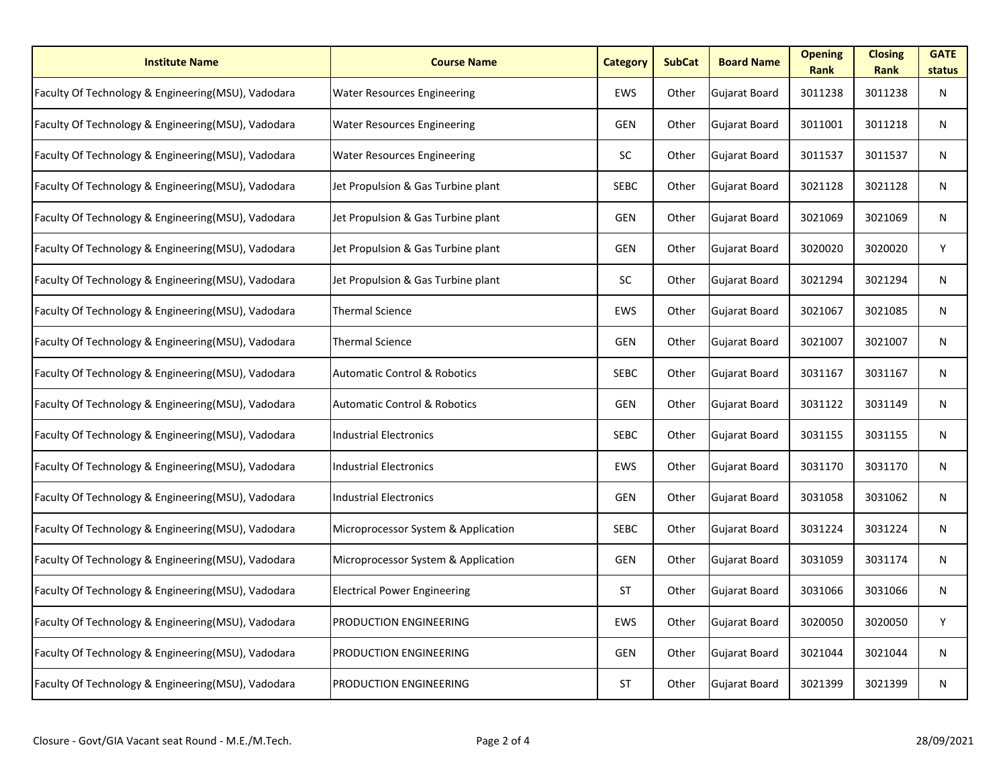| <b>Institute Name</b>                              | <b>Course Name</b>                      | <b>Category</b> | <b>SubCat</b> | <b>Board Name</b> | <b>Opening</b><br><b>Rank</b> | <b>Closing</b><br><b>Rank</b> | <b>GATE</b><br>status |
|----------------------------------------------------|-----------------------------------------|-----------------|---------------|-------------------|-------------------------------|-------------------------------|-----------------------|
| Faculty Of Technology & Engineering(MSU), Vadodara | <b>Water Resources Engineering</b>      | EWS             | Other         | Gujarat Board     | 3011238                       | 3011238                       | N                     |
| Faculty Of Technology & Engineering(MSU), Vadodara | <b>Water Resources Engineering</b>      | <b>GEN</b>      | Other         | Gujarat Board     | 3011001                       | 3011218                       | N                     |
| Faculty Of Technology & Engineering(MSU), Vadodara | <b>Water Resources Engineering</b>      | SC              | Other         | Gujarat Board     | 3011537                       | 3011537                       | N                     |
| Faculty Of Technology & Engineering(MSU), Vadodara | Jet Propulsion & Gas Turbine plant      | <b>SEBC</b>     | Other         | Gujarat Board     | 3021128                       | 3021128                       | N                     |
| Faculty Of Technology & Engineering(MSU), Vadodara | Jet Propulsion & Gas Turbine plant      | <b>GEN</b>      | Other         | Gujarat Board     | 3021069                       | 3021069                       | N                     |
| Faculty Of Technology & Engineering(MSU), Vadodara | Jet Propulsion & Gas Turbine plant      | <b>GEN</b>      | Other         | Gujarat Board     | 3020020                       | 3020020                       | Y                     |
| Faculty Of Technology & Engineering(MSU), Vadodara | Jet Propulsion & Gas Turbine plant      | SC              | Other         | Gujarat Board     | 3021294                       | 3021294                       | N                     |
| Faculty Of Technology & Engineering(MSU), Vadodara | <b>Thermal Science</b>                  | EWS             | Other         | Gujarat Board     | 3021067                       | 3021085                       | N                     |
| Faculty Of Technology & Engineering(MSU), Vadodara | <b>Thermal Science</b>                  | <b>GEN</b>      | Other         | Gujarat Board     | 3021007                       | 3021007                       | N                     |
| Faculty Of Technology & Engineering(MSU), Vadodara | <b>Automatic Control &amp; Robotics</b> | <b>SEBC</b>     | Other         | Gujarat Board     | 3031167                       | 3031167                       | N                     |
| Faculty Of Technology & Engineering(MSU), Vadodara | <b>Automatic Control &amp; Robotics</b> | <b>GEN</b>      | Other         | Gujarat Board     | 3031122                       | 3031149                       | N                     |
| Faculty Of Technology & Engineering(MSU), Vadodara | Industrial Electronics                  | <b>SEBC</b>     | Other         | Gujarat Board     | 3031155                       | 3031155                       | N                     |
| Faculty Of Technology & Engineering(MSU), Vadodara | <b>Industrial Electronics</b>           | EWS             | Other         | Gujarat Board     | 3031170                       | 3031170                       | N                     |
| Faculty Of Technology & Engineering(MSU), Vadodara | Industrial Electronics                  | <b>GEN</b>      | Other         | Gujarat Board     | 3031058                       | 3031062                       | N                     |
| Faculty Of Technology & Engineering(MSU), Vadodara | Microprocessor System & Application     | SEBC            | Other         | Gujarat Board     | 3031224                       | 3031224                       | N                     |
| Faculty Of Technology & Engineering(MSU), Vadodara | Microprocessor System & Application     | <b>GEN</b>      | Other         | Gujarat Board     | 3031059                       | 3031174                       | N                     |
| Faculty Of Technology & Engineering(MSU), Vadodara | <b>Electrical Power Engineering</b>     | <b>ST</b>       | Other         | Gujarat Board     | 3031066                       | 3031066                       | N                     |
| Faculty Of Technology & Engineering(MSU), Vadodara | <b>PRODUCTION ENGINEERING</b>           | EWS             | Other         | Gujarat Board     | 3020050                       | 3020050                       | Y                     |
| Faculty Of Technology & Engineering(MSU), Vadodara | <b>PRODUCTION ENGINEERING</b>           | <b>GEN</b>      | Other         | Gujarat Board     | 3021044                       | 3021044                       | N                     |
| Faculty Of Technology & Engineering(MSU), Vadodara | <b>PRODUCTION ENGINEERING</b>           | <b>ST</b>       | Other         | Gujarat Board     | 3021399                       | 3021399                       | N                     |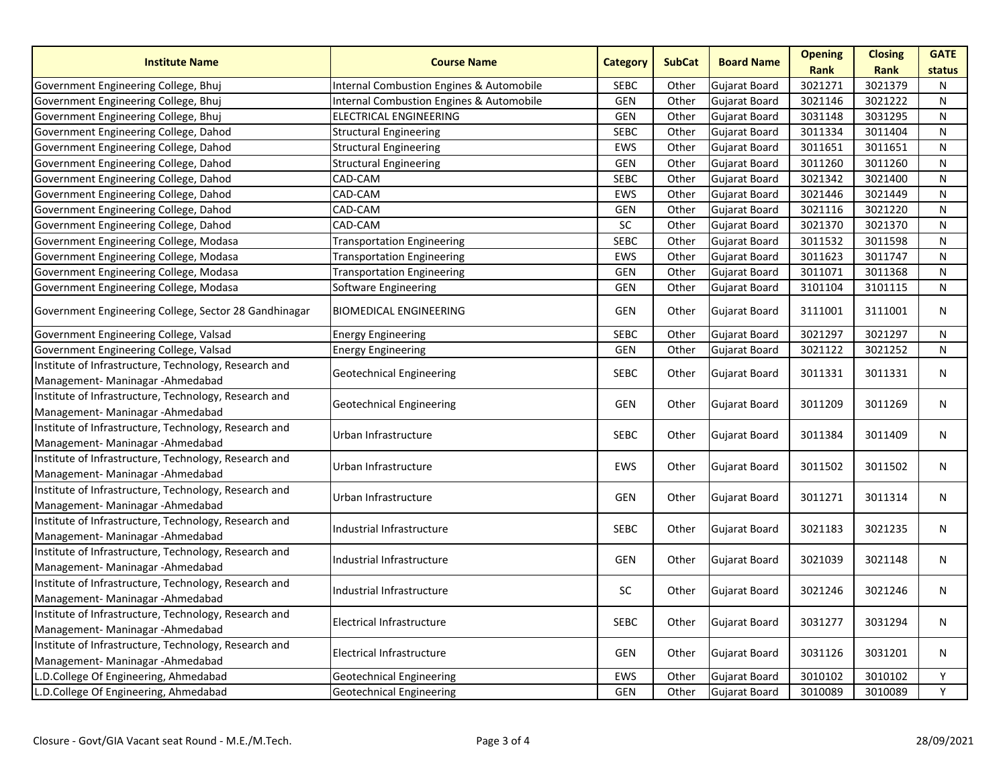| <b>Institute Name</b>                                                                      | <b>Course Name</b>                                                                                         | <b>Category</b> | <b>SubCat</b> | <b>Board Name</b>    | <b>Opening</b><br>Rank | <b>Closing</b><br><b>Rank</b> | <b>GATE</b>  |
|--------------------------------------------------------------------------------------------|------------------------------------------------------------------------------------------------------------|-----------------|---------------|----------------------|------------------------|-------------------------------|--------------|
|                                                                                            |                                                                                                            | <b>SEBC</b>     | Other         | Gujarat Board        | 3021271                | 3021379                       | status       |
| Government Engineering College, Bhuj<br>Government Engineering College, Bhuj               | <b>Internal Combustion Engines &amp; Automobile</b><br><b>Internal Combustion Engines &amp; Automobile</b> | <b>GEN</b>      | Other         | Gujarat Board        | 3021146                | 3021222                       | N<br>N       |
| Government Engineering College, Bhuj                                                       | <b>ELECTRICAL ENGINEERING</b>                                                                              | <b>GEN</b>      | Other         | <b>Gujarat Board</b> | 3031148                | 3031295                       | N            |
| Government Engineering College, Dahod                                                      | <b>Structural Engineering</b>                                                                              | <b>SEBC</b>     | Other         | Gujarat Board        | 3011334                | 3011404                       | ${\sf N}$    |
| Government Engineering College, Dahod                                                      | <b>Structural Engineering</b>                                                                              | EWS             | Other         | Gujarat Board        | 3011651                | 3011651                       | N            |
| Government Engineering College, Dahod                                                      | <b>Structural Engineering</b>                                                                              | <b>GEN</b>      | Other         | Gujarat Board        | 3011260                | 3011260                       | N            |
| Government Engineering College, Dahod                                                      | CAD-CAM                                                                                                    | <b>SEBC</b>     | Other         | Gujarat Board        | 3021342                | 3021400                       | N            |
| Government Engineering College, Dahod                                                      | CAD-CAM                                                                                                    | <b>EWS</b>      | Other         | Gujarat Board        | 3021446                | 3021449                       | N            |
| Government Engineering College, Dahod                                                      | CAD-CAM                                                                                                    | <b>GEN</b>      | Other         | Gujarat Board        | 3021116                | 3021220                       | ${\sf N}$    |
| Government Engineering College, Dahod                                                      | CAD-CAM                                                                                                    | SC              | Other         | Gujarat Board        | 3021370                | 3021370                       | N            |
| Government Engineering College, Modasa                                                     | <b>Transportation Engineering</b>                                                                          | <b>SEBC</b>     | Other         | Gujarat Board        | 3011532                | 3011598                       | N            |
| Government Engineering College, Modasa                                                     | <b>Transportation Engineering</b>                                                                          | EWS             | Other         | Gujarat Board        | 3011623                | 3011747                       | N            |
| Government Engineering College, Modasa                                                     | <b>Transportation Engineering</b>                                                                          | <b>GEN</b>      | Other         | Gujarat Board        | 3011071                | 3011368                       | N            |
| Government Engineering College, Modasa                                                     | Software Engineering                                                                                       | <b>GEN</b>      | Other         | Gujarat Board        | 3101104                | 3101115                       | N            |
| Government Engineering College, Sector 28 Gandhinagar                                      | <b>BIOMEDICAL ENGINEERING</b>                                                                              | <b>GEN</b>      | Other         | Gujarat Board        | 3111001                | 3111001                       | $\mathsf{N}$ |
| Government Engineering College, Valsad                                                     | <b>Energy Engineering</b>                                                                                  | <b>SEBC</b>     | Other         | Gujarat Board        | 3021297                | 3021297                       | N            |
|                                                                                            |                                                                                                            |                 |               |                      |                        |                               |              |
| Government Engineering College, Valsad                                                     | <b>Energy Engineering</b>                                                                                  | <b>GEN</b>      | Other         | Gujarat Board        | 3021122                | 3021252                       | N            |
| Institute of Infrastructure, Technology, Research and<br>Management- Maninagar - Ahmedabad | <b>Geotechnical Engineering</b>                                                                            | <b>SEBC</b>     | Other         | Gujarat Board        | 3011331                | 3011331                       | N            |
| Institute of Infrastructure, Technology, Research and<br>Management- Maninagar - Ahmedabad | <b>Geotechnical Engineering</b>                                                                            | <b>GEN</b>      | Other         | Gujarat Board        | 3011209                | 3011269                       | N            |
| Institute of Infrastructure, Technology, Research and<br>Management- Maninagar - Ahmedabad | Urban Infrastructure                                                                                       | <b>SEBC</b>     | Other         | Gujarat Board        | 3011384                | 3011409                       | N            |
| Institute of Infrastructure, Technology, Research and<br>Management- Maninagar - Ahmedabad | Urban Infrastructure                                                                                       | EWS             | Other         | <b>Gujarat Board</b> | 3011502                | 3011502                       | N            |
| Institute of Infrastructure, Technology, Research and<br>Management- Maninagar - Ahmedabad | Urban Infrastructure                                                                                       | <b>GEN</b>      | Other         | Gujarat Board        | 3011271                | 3011314                       | N            |
| Institute of Infrastructure, Technology, Research and<br>Management-Maninagar-Ahmedabad    | Industrial Infrastructure                                                                                  | SEBC            | Other         | Gujarat Board        | 3021183                | 3021235                       | N            |
| Institute of Infrastructure, Technology, Research and<br>Management-Maninagar-Ahmedabad    | Industrial Infrastructure                                                                                  | <b>GEN</b>      | Other         | Gujarat Board        | 3021039                | 3021148                       | N            |
| Institute of Infrastructure, Technology, Research and<br>Management- Maninagar - Ahmedabad | Industrial Infrastructure                                                                                  | <b>SC</b>       | Other         | Gujarat Board        | 3021246                | 3021246                       | N            |
| Institute of Infrastructure, Technology, Research and<br>Management-Maninagar-Ahmedabad    | <b>Electrical Infrastructure</b>                                                                           | <b>SEBC</b>     | Other         | Gujarat Board        | 3031277                | 3031294                       | $\mathsf{N}$ |
| Institute of Infrastructure, Technology, Research and<br>Management- Maninagar - Ahmedabad | <b>Electrical Infrastructure</b>                                                                           | <b>GEN</b>      | Other         | Gujarat Board        | 3031126                | 3031201                       | N            |
| L.D.College Of Engineering, Ahmedabad                                                      | <b>Geotechnical Engineering</b>                                                                            | <b>EWS</b>      | Other         | Gujarat Board        | 3010102                | 3010102                       | Y            |
| L.D.College Of Engineering, Ahmedabad                                                      | <b>Geotechnical Engineering</b>                                                                            | <b>GEN</b>      | Other         | Gujarat Board        | 3010089                | 3010089                       | Y            |